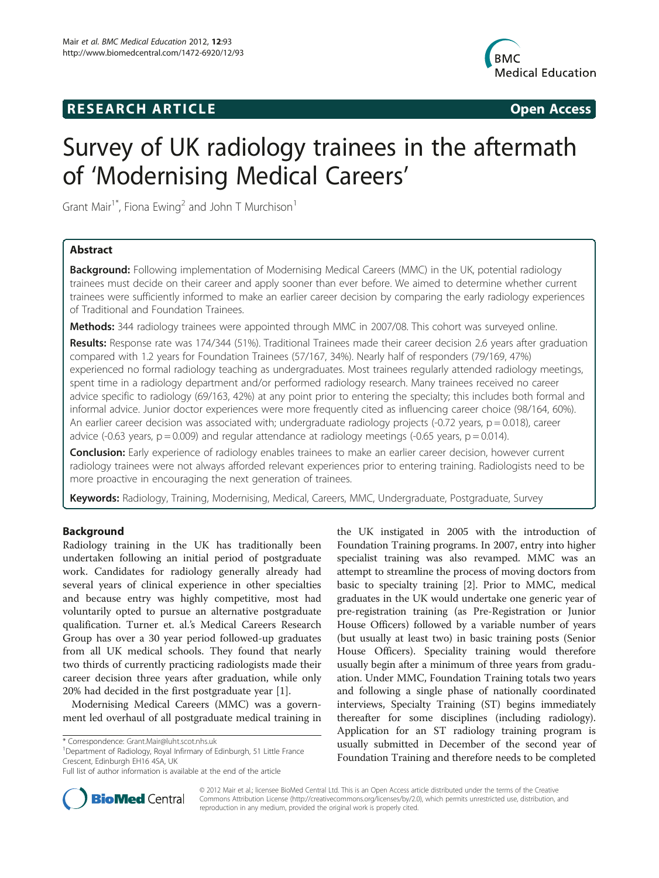## **RESEARCH ARTICLE Example 2014 CONSIDERING CONSIDERING CONSIDERING CONSIDERING CONSIDERING CONSIDERING CONSIDERING CONSIDERING CONSIDERING CONSIDERING CONSIDERING CONSIDERING CONSIDERING CONSIDERING CONSIDERING CONSIDE**



# Survey of UK radiology trainees in the aftermath of 'Modernising Medical Careers'

Grant Mair<sup>1\*</sup>, Fiona Ewing<sup>2</sup> and John T Murchison<sup>1</sup>

## Abstract

**Background:** Following implementation of Modernising Medical Careers (MMC) in the UK, potential radiology trainees must decide on their career and apply sooner than ever before. We aimed to determine whether current trainees were sufficiently informed to make an earlier career decision by comparing the early radiology experiences of Traditional and Foundation Trainees.

Methods: 344 radiology trainees were appointed through MMC in 2007/08. This cohort was surveyed online.

Results: Response rate was 174/344 (51%). Traditional Trainees made their career decision 2.6 years after graduation compared with 1.2 years for Foundation Trainees (57/167, 34%). Nearly half of responders (79/169, 47%) experienced no formal radiology teaching as undergraduates. Most trainees regularly attended radiology meetings, spent time in a radiology department and/or performed radiology research. Many trainees received no career advice specific to radiology (69/163, 42%) at any point prior to entering the specialty; this includes both formal and informal advice. Junior doctor experiences were more frequently cited as influencing career choice (98/164, 60%). An earlier career decision was associated with; undergraduate radiology projects  $(-0.72$  years,  $p = 0.018$ ), career advice (-0.63 years,  $p = 0.009$ ) and regular attendance at radiology meetings (-0.65 years,  $p = 0.014$ ).

Conclusion: Early experience of radiology enables trainees to make an earlier career decision, however current radiology trainees were not always afforded relevant experiences prior to entering training. Radiologists need to be more proactive in encouraging the next generation of trainees.

Keywords: Radiology, Training, Modernising, Medical, Careers, MMC, Undergraduate, Postgraduate, Survey

## Background

Radiology training in the UK has traditionally been undertaken following an initial period of postgraduate work. Candidates for radiology generally already had several years of clinical experience in other specialties and because entry was highly competitive, most had voluntarily opted to pursue an alternative postgraduate qualification. Turner et. al.'s Medical Careers Research Group has over a 30 year period followed-up graduates from all UK medical schools. They found that nearly two thirds of currently practicing radiologists made their career decision three years after graduation, while only 20% had decided in the first postgraduate year [[1\]](#page-7-0).

Modernising Medical Careers (MMC) was a government led overhaul of all postgraduate medical training in

<sup>1</sup>Department of Radiology, Royal Infirmary of Edinburgh, 51 Little France Crescent, Edinburgh EH16 4SA, UK

the UK instigated in 2005 with the introduction of Foundation Training programs. In 2007, entry into higher specialist training was also revamped. MMC was an attempt to streamline the process of moving doctors from basic to specialty training [[2\]](#page-7-0). Prior to MMC, medical graduates in the UK would undertake one generic year of pre-registration training (as Pre-Registration or Junior House Officers) followed by a variable number of years (but usually at least two) in basic training posts (Senior House Officers). Speciality training would therefore usually begin after a minimum of three years from graduation. Under MMC, Foundation Training totals two years and following a single phase of nationally coordinated interviews, Specialty Training (ST) begins immediately thereafter for some disciplines (including radiology). Application for an ST radiology training program is usually submitted in December of the second year of Foundation Training and therefore needs to be completed



© 2012 Mair et al.; licensee BioMed Central Ltd. This is an Open Access article distributed under the terms of the Creative Commons Attribution License [\(http://creativecommons.org/licenses/by/2.0\)](http://creativecommons.org/licenses/by/2.0), which permits unrestricted use, distribution, and reproduction in any medium, provided the original work is properly cited.

<sup>\*</sup> Correspondence: [Grant.Mair@luht.scot.nhs.uk](mailto:Grant.Mair@luht.scot.nhs.uk) <sup>1</sup>

Full list of author information is available at the end of the article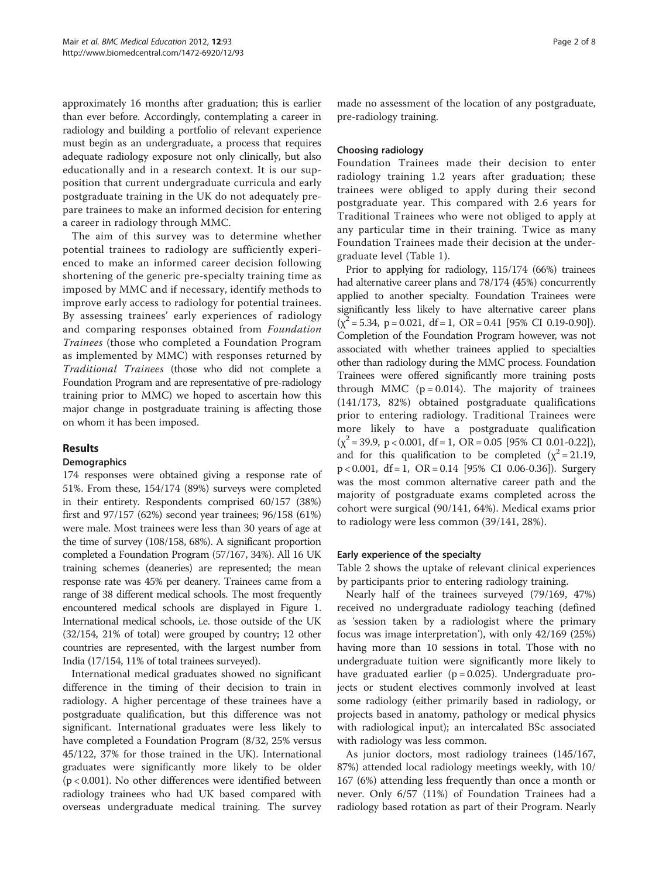approximately 16 months after graduation; this is earlier than ever before. Accordingly, contemplating a career in radiology and building a portfolio of relevant experience must begin as an undergraduate, a process that requires adequate radiology exposure not only clinically, but also educationally and in a research context. It is our supposition that current undergraduate curricula and early postgraduate training in the UK do not adequately prepare trainees to make an informed decision for entering a career in radiology through MMC.

The aim of this survey was to determine whether potential trainees to radiology are sufficiently experienced to make an informed career decision following shortening of the generic pre-specialty training time as imposed by MMC and if necessary, identify methods to improve early access to radiology for potential trainees. By assessing trainees' early experiences of radiology and comparing responses obtained from Foundation Trainees (those who completed a Foundation Program as implemented by MMC) with responses returned by Traditional Trainees (those who did not complete a Foundation Program and are representative of pre-radiology training prior to MMC) we hoped to ascertain how this major change in postgraduate training is affecting those on whom it has been imposed.

## Results

## Demographics

174 responses were obtained giving a response rate of 51%. From these, 154/174 (89%) surveys were completed in their entirety. Respondents comprised 60/157 (38%) first and 97/157 (62%) second year trainees; 96/158 (61%) were male. Most trainees were less than 30 years of age at the time of survey (108/158, 68%). A significant proportion completed a Foundation Program (57/167, 34%). All 16 UK training schemes (deaneries) are represented; the mean response rate was 45% per deanery. Trainees came from a range of 38 different medical schools. The most frequently encountered medical schools are displayed in Figure [1](#page-2-0). International medical schools, i.e. those outside of the UK (32/154, 21% of total) were grouped by country; 12 other countries are represented, with the largest number from India (17/154, 11% of total trainees surveyed).

International medical graduates showed no significant difference in the timing of their decision to train in radiology. A higher percentage of these trainees have a postgraduate qualification, but this difference was not significant. International graduates were less likely to have completed a Foundation Program (8/32, 25% versus 45/122, 37% for those trained in the UK). International graduates were significantly more likely to be older (p < 0.001). No other differences were identified between radiology trainees who had UK based compared with overseas undergraduate medical training. The survey made no assessment of the location of any postgraduate, pre-radiology training.

## Choosing radiology

Foundation Trainees made their decision to enter radiology training 1.2 years after graduation; these trainees were obliged to apply during their second postgraduate year. This compared with 2.6 years for Traditional Trainees who were not obliged to apply at any particular time in their training. Twice as many Foundation Trainees made their decision at the undergraduate level (Table [1](#page-2-0)).

Prior to applying for radiology, 115/174 (66%) trainees had alternative career plans and 78/174 (45%) concurrently applied to another specialty. Foundation Trainees were significantly less likely to have alternative career plans  $(\chi^2 = 5.34, p = 0.021, df = 1, OR = 0.41 [95\% CI 0.19-0.90]).$ Completion of the Foundation Program however, was not associated with whether trainees applied to specialties other than radiology during the MMC process. Foundation Trainees were offered significantly more training posts through MMC ( $p = 0.014$ ). The majority of trainees (141/173, 82%) obtained postgraduate qualifications prior to entering radiology. Traditional Trainees were more likely to have a postgraduate qualification  $(\chi^2 = 39.9, p < 0.001, df = 1, OR = 0.05 [95\% CI 0.01 - 0.22]),$ and for this qualification to be completed  $(\chi^2 = 21.19,$  $p < 0.001$ , df = 1, OR = 0.14 [95% CI 0.06-0.36]). Surgery was the most common alternative career path and the majority of postgraduate exams completed across the cohort were surgical (90/141, 64%). Medical exams prior to radiology were less common (39/141, 28%).

## Early experience of the specialty

Table [2](#page-2-0) shows the uptake of relevant clinical experiences by participants prior to entering radiology training.

Nearly half of the trainees surveyed (79/169, 47%) received no undergraduate radiology teaching (defined as 'session taken by a radiologist where the primary focus was image interpretation'), with only 42/169 (25%) having more than 10 sessions in total. Those with no undergraduate tuition were significantly more likely to have graduated earlier (p = 0.025). Undergraduate projects or student electives commonly involved at least some radiology (either primarily based in radiology, or projects based in anatomy, pathology or medical physics with radiological input); an intercalated BSc associated with radiology was less common.

As junior doctors, most radiology trainees (145/167, 87%) attended local radiology meetings weekly, with 10/ 167 (6%) attending less frequently than once a month or never. Only 6/57 (11%) of Foundation Trainees had a radiology based rotation as part of their Program. Nearly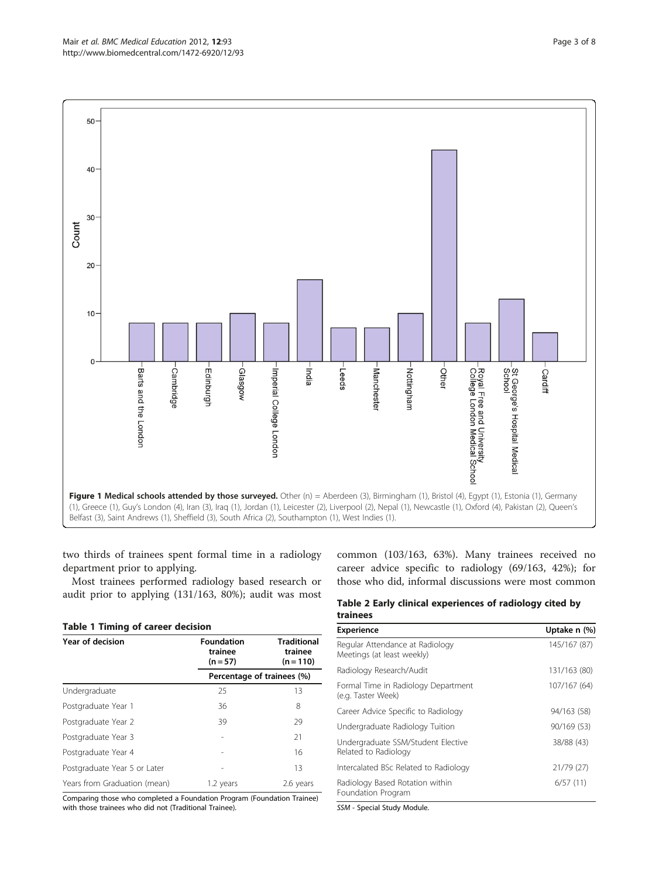two thirds of trainees spent formal time in a radiology department prior to applying.

Belfast (3), Saint Andrews (1), Sheffield (3), South Africa (2), Southampton (1), West Indies (1).

Most trainees performed radiology based research or audit prior to applying (131/163, 80%); audit was most

| Year of decision             | <b>Foundation</b><br>trainee<br>$(n = 57)$ | <b>Traditional</b><br>trainee<br>$(n = 110)$ |
|------------------------------|--------------------------------------------|----------------------------------------------|
|                              | Percentage of trainees (%)                 |                                              |
| Undergraduate                | 25                                         | 13                                           |
| Postgraduate Year 1          | 36                                         | 8                                            |
| Postgraduate Year 2          | 39                                         | 29                                           |
| Postgraduate Year 3          |                                            | 21                                           |
| Postgraduate Year 4          |                                            | 16                                           |
| Postgraduate Year 5 or Later |                                            | 13                                           |
| Years from Graduation (mean) | 1.2 years                                  | 2.6 years                                    |
|                              |                                            |                                              |

Comparing those who completed a Foundation Program (Foundation Trainee) with those trainees who did not (Traditional Trainee).

common (103/163, 63%). Many trainees received no career advice specific to radiology (69/163, 42%); for those who did, informal discussions were most common

Table 2 Early clinical experiences of radiology cited by trainees

| <b>Experience</b>                                             | Uptake n (%) |
|---------------------------------------------------------------|--------------|
| Regular Attendance at Radiology<br>Meetings (at least weekly) | 145/167 (87) |
| Radiology Research/Audit                                      | 131/163 (80) |
| Formal Time in Radiology Department<br>(e.g. Taster Week)     | 107/167 (64) |
| Career Advice Specific to Radiology                           | 94/163 (58)  |
| Undergraduate Radiology Tuition                               | 90/169 (53)  |
| Undergraduate SSM/Student Elective<br>Related to Radiology    | 38/88 (43)   |
| Intercalated BSc Related to Radiology                         | 21/79 (27)   |
| Radiology Based Rotation within<br>Foundation Program         | 6/57(11)     |

SSM - Special Study Module.

<span id="page-2-0"></span>

Figure 1 Medical schools attended by those surveyed. Other (n) = Aberdeen (3), Birmingham (1), Bristol (4), Egypt (1), Estonia (1), Germany (1), Greece (1), Guy's London (4), Iran (3), Iraq (1), Jordan (1), Leicester (2), Liverpool (2), Nepal (1), Newcastle (1), Oxford (4), Pakistan (2), Queen's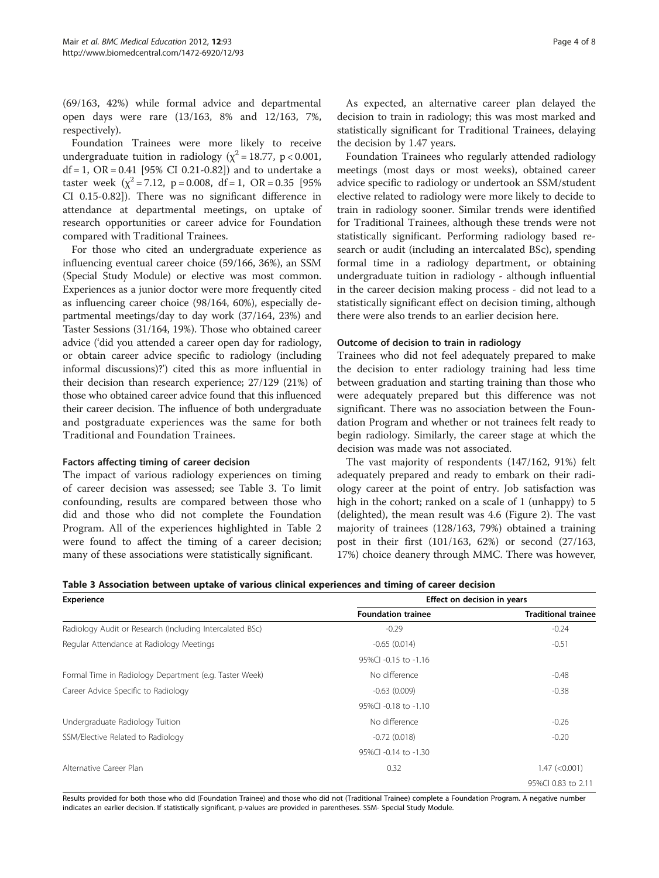(69/163, 42%) while formal advice and departmental open days were rare (13/163, 8% and 12/163, 7%, respectively).

Foundation Trainees were more likely to receive undergraduate tuition in radiology ( $\chi^2$  = 18.77, p < 0.001, df = 1, OR = 0.41 [95% CI 0.21-0.82]) and to undertake a taster week  $(\chi^2 = 7.12, p = 0.008, df = 1, OR = 0.35 [95\%]$ CI 0.15-0.82]). There was no significant difference in attendance at departmental meetings, on uptake of research opportunities or career advice for Foundation compared with Traditional Trainees.

For those who cited an undergraduate experience as influencing eventual career choice (59/166, 36%), an SSM (Special Study Module) or elective was most common. Experiences as a junior doctor were more frequently cited as influencing career choice (98/164, 60%), especially departmental meetings/day to day work (37/164, 23%) and Taster Sessions (31/164, 19%). Those who obtained career advice ('did you attended a career open day for radiology, or obtain career advice specific to radiology (including informal discussions)?') cited this as more influential in their decision than research experience; 27/129 (21%) of those who obtained career advice found that this influenced their career decision. The influence of both undergraduate and postgraduate experiences was the same for both Traditional and Foundation Trainees.

#### Factors affecting timing of career decision

The impact of various radiology experiences on timing of career decision was assessed; see Table 3. To limit confounding, results are compared between those who did and those who did not complete the Foundation Program. All of the experiences highlighted in Table [2](#page-2-0) were found to affect the timing of a career decision; many of these associations were statistically significant.

As expected, an alternative career plan delayed the decision to train in radiology; this was most marked and statistically significant for Traditional Trainees, delaying the decision by 1.47 years.

Foundation Trainees who regularly attended radiology meetings (most days or most weeks), obtained career advice specific to radiology or undertook an SSM/student elective related to radiology were more likely to decide to train in radiology sooner. Similar trends were identified for Traditional Trainees, although these trends were not statistically significant. Performing radiology based research or audit (including an intercalated BSc), spending formal time in a radiology department, or obtaining undergraduate tuition in radiology - although influential in the career decision making process - did not lead to a statistically significant effect on decision timing, although there were also trends to an earlier decision here.

## Outcome of decision to train in radiology

Trainees who did not feel adequately prepared to make the decision to enter radiology training had less time between graduation and starting training than those who were adequately prepared but this difference was not significant. There was no association between the Foundation Program and whether or not trainees felt ready to begin radiology. Similarly, the career stage at which the decision was made was not associated.

The vast majority of respondents (147/162, 91%) felt adequately prepared and ready to embark on their radiology career at the point of entry. Job satisfaction was high in the cohort; ranked on a scale of 1 (unhappy) to 5 (delighted), the mean result was 4.6 (Figure [2](#page-4-0)). The vast majority of trainees (128/163, 79%) obtained a training post in their first (101/163, 62%) or second (27/163, 17%) choice deanery through MMC. There was however,

Table 3 Association between uptake of various clinical experiences and timing of career decision

| <b>Experience</b>                                        | Effect on decision in years |                            |
|----------------------------------------------------------|-----------------------------|----------------------------|
|                                                          | <b>Foundation trainee</b>   | <b>Traditional trainee</b> |
| Radiology Audit or Research (Including Intercalated BSc) | $-0.29$                     | $-0.24$                    |
| Regular Attendance at Radiology Meetings                 | $-0.65(0.014)$              | $-0.51$                    |
|                                                          | 95%Cl -0.15 to -1.16        |                            |
| Formal Time in Radiology Department (e.g. Taster Week)   | No difference               | $-0.48$                    |
| Career Advice Specific to Radiology                      | $-0.63(0.009)$              | $-0.38$                    |
|                                                          | 95%CI -0.18 to -1.10        |                            |
| Undergraduate Radiology Tuition                          | No difference               | $-0.26$                    |
| SSM/Elective Related to Radiology                        | $-0.72(0.018)$              | $-0.20$                    |
|                                                          | 95%CL-0.14 to -1.30         |                            |
| Alternative Career Plan                                  | 0.32                        | $1.47$ (<0.001)            |
|                                                          |                             | 95%CI 0.83 to 2.11         |

Results provided for both those who did (Foundation Trainee) and those who did not (Traditional Trainee) complete a Foundation Program. A negative number indicates an earlier decision. If statistically significant, p-values are provided in parentheses. SSM- Special Study Module.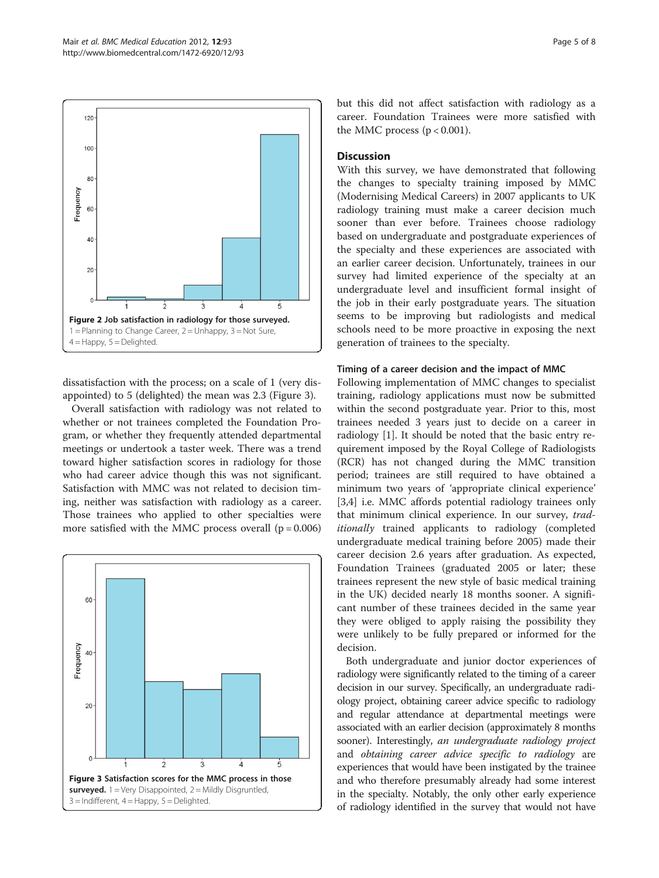<span id="page-4-0"></span>

dissatisfaction with the process; on a scale of 1 (very disappointed) to 5 (delighted) the mean was 2.3 (Figure 3).

Overall satisfaction with radiology was not related to whether or not trainees completed the Foundation Program, or whether they frequently attended departmental meetings or undertook a taster week. There was a trend toward higher satisfaction scores in radiology for those who had career advice though this was not significant. Satisfaction with MMC was not related to decision timing, neither was satisfaction with radiology as a career. Those trainees who applied to other specialties were more satisfied with the MMC process overall  $(p = 0.006)$ 



but this did not affect satisfaction with radiology as a career. Foundation Trainees were more satisfied with the MMC process  $(p < 0.001)$ .

#### **Discussion**

With this survey, we have demonstrated that following the changes to specialty training imposed by MMC (Modernising Medical Careers) in 2007 applicants to UK radiology training must make a career decision much sooner than ever before. Trainees choose radiology based on undergraduate and postgraduate experiences of the specialty and these experiences are associated with an earlier career decision. Unfortunately, trainees in our survey had limited experience of the specialty at an undergraduate level and insufficient formal insight of the job in their early postgraduate years. The situation seems to be improving but radiologists and medical schools need to be more proactive in exposing the next generation of trainees to the specialty.

#### Timing of a career decision and the impact of MMC

Following implementation of MMC changes to specialist training, radiology applications must now be submitted within the second postgraduate year. Prior to this, most trainees needed 3 years just to decide on a career in radiology [\[1\]](#page-7-0). It should be noted that the basic entry requirement imposed by the Royal College of Radiologists (RCR) has not changed during the MMC transition period; trainees are still required to have obtained a minimum two years of 'appropriate clinical experience' [[3,4\]](#page-7-0) i.e. MMC affords potential radiology trainees only that minimum clinical experience. In our survey, traditionally trained applicants to radiology (completed undergraduate medical training before 2005) made their career decision 2.6 years after graduation. As expected, Foundation Trainees (graduated 2005 or later; these trainees represent the new style of basic medical training in the UK) decided nearly 18 months sooner. A significant number of these trainees decided in the same year they were obliged to apply raising the possibility they were unlikely to be fully prepared or informed for the decision.

Both undergraduate and junior doctor experiences of radiology were significantly related to the timing of a career decision in our survey. Specifically, an undergraduate radiology project, obtaining career advice specific to radiology and regular attendance at departmental meetings were associated with an earlier decision (approximately 8 months sooner). Interestingly, an undergraduate radiology project and obtaining career advice specific to radiology are experiences that would have been instigated by the trainee and who therefore presumably already had some interest in the specialty. Notably, the only other early experience of radiology identified in the survey that would not have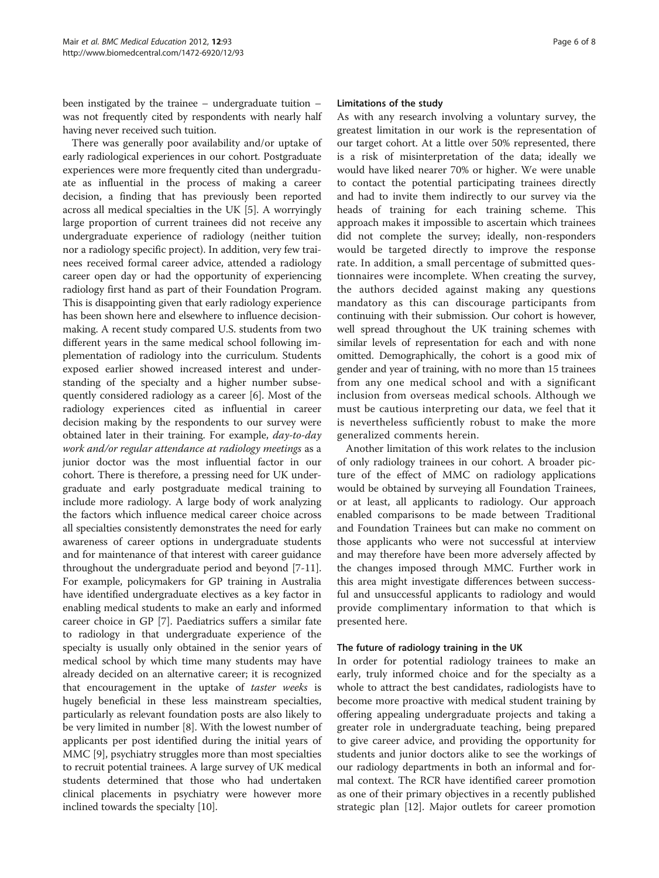been instigated by the trainee – undergraduate tuition – was not frequently cited by respondents with nearly half having never received such tuition.

There was generally poor availability and/or uptake of early radiological experiences in our cohort. Postgraduate experiences were more frequently cited than undergraduate as influential in the process of making a career decision, a finding that has previously been reported across all medical specialties in the UK [[5\]](#page-7-0). A worryingly large proportion of current trainees did not receive any undergraduate experience of radiology (neither tuition nor a radiology specific project). In addition, very few trainees received formal career advice, attended a radiology career open day or had the opportunity of experiencing radiology first hand as part of their Foundation Program. This is disappointing given that early radiology experience has been shown here and elsewhere to influence decisionmaking. A recent study compared U.S. students from two different years in the same medical school following implementation of radiology into the curriculum. Students exposed earlier showed increased interest and understanding of the specialty and a higher number subsequently considered radiology as a career [[6](#page-7-0)]. Most of the radiology experiences cited as influential in career decision making by the respondents to our survey were obtained later in their training. For example, day-to-day work and/or regular attendance at radiology meetings as a junior doctor was the most influential factor in our cohort. There is therefore, a pressing need for UK undergraduate and early postgraduate medical training to include more radiology. A large body of work analyzing the factors which influence medical career choice across all specialties consistently demonstrates the need for early awareness of career options in undergraduate students and for maintenance of that interest with career guidance throughout the undergraduate period and beyond [\[7](#page-7-0)-[11](#page-7-0)]. For example, policymakers for GP training in Australia have identified undergraduate electives as a key factor in enabling medical students to make an early and informed career choice in GP [[7\]](#page-7-0). Paediatrics suffers a similar fate to radiology in that undergraduate experience of the specialty is usually only obtained in the senior years of medical school by which time many students may have already decided on an alternative career; it is recognized that encouragement in the uptake of taster weeks is hugely beneficial in these less mainstream specialties, particularly as relevant foundation posts are also likely to be very limited in number [[8\]](#page-7-0). With the lowest number of applicants per post identified during the initial years of MMC [\[9](#page-7-0)], psychiatry struggles more than most specialties to recruit potential trainees. A large survey of UK medical students determined that those who had undertaken clinical placements in psychiatry were however more inclined towards the specialty [[10](#page-7-0)].

#### Limitations of the study

As with any research involving a voluntary survey, the greatest limitation in our work is the representation of our target cohort. At a little over 50% represented, there is a risk of misinterpretation of the data; ideally we would have liked nearer 70% or higher. We were unable to contact the potential participating trainees directly and had to invite them indirectly to our survey via the heads of training for each training scheme. This approach makes it impossible to ascertain which trainees did not complete the survey; ideally, non-responders would be targeted directly to improve the response rate. In addition, a small percentage of submitted questionnaires were incomplete. When creating the survey, the authors decided against making any questions mandatory as this can discourage participants from continuing with their submission. Our cohort is however, well spread throughout the UK training schemes with similar levels of representation for each and with none omitted. Demographically, the cohort is a good mix of gender and year of training, with no more than 15 trainees from any one medical school and with a significant inclusion from overseas medical schools. Although we must be cautious interpreting our data, we feel that it is nevertheless sufficiently robust to make the more generalized comments herein.

Another limitation of this work relates to the inclusion of only radiology trainees in our cohort. A broader picture of the effect of MMC on radiology applications would be obtained by surveying all Foundation Trainees, or at least, all applicants to radiology. Our approach enabled comparisons to be made between Traditional and Foundation Trainees but can make no comment on those applicants who were not successful at interview and may therefore have been more adversely affected by the changes imposed through MMC. Further work in this area might investigate differences between successful and unsuccessful applicants to radiology and would provide complimentary information to that which is presented here.

#### The future of radiology training in the UK

In order for potential radiology trainees to make an early, truly informed choice and for the specialty as a whole to attract the best candidates, radiologists have to become more proactive with medical student training by offering appealing undergraduate projects and taking a greater role in undergraduate teaching, being prepared to give career advice, and providing the opportunity for students and junior doctors alike to see the workings of our radiology departments in both an informal and formal context. The RCR have identified career promotion as one of their primary objectives in a recently published strategic plan [[12](#page-7-0)]. Major outlets for career promotion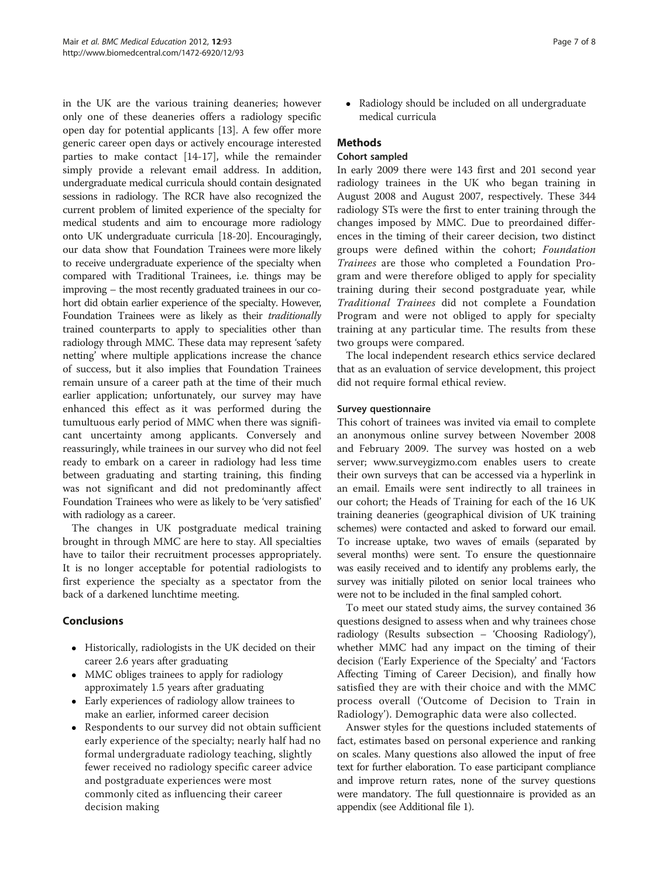in the UK are the various training deaneries; however only one of these deaneries offers a radiology specific open day for potential applicants [\[13\]](#page-7-0). A few offer more generic career open days or actively encourage interested parties to make contact [\[14-17](#page-7-0)], while the remainder simply provide a relevant email address. In addition, undergraduate medical curricula should contain designated sessions in radiology. The RCR have also recognized the current problem of limited experience of the specialty for medical students and aim to encourage more radiology onto UK undergraduate curricula [\[18-20\]](#page-7-0). Encouragingly, our data show that Foundation Trainees were more likely to receive undergraduate experience of the specialty when compared with Traditional Trainees, i.e. things may be improving – the most recently graduated trainees in our cohort did obtain earlier experience of the specialty. However, Foundation Trainees were as likely as their traditionally trained counterparts to apply to specialities other than radiology through MMC. These data may represent 'safety netting' where multiple applications increase the chance of success, but it also implies that Foundation Trainees remain unsure of a career path at the time of their much earlier application; unfortunately, our survey may have enhanced this effect as it was performed during the tumultuous early period of MMC when there was significant uncertainty among applicants. Conversely and reassuringly, while trainees in our survey who did not feel ready to embark on a career in radiology had less time between graduating and starting training, this finding was not significant and did not predominantly affect Foundation Trainees who were as likely to be 'very satisfied' with radiology as a career.

The changes in UK postgraduate medical training brought in through MMC are here to stay. All specialties have to tailor their recruitment processes appropriately. It is no longer acceptable for potential radiologists to first experience the specialty as a spectator from the back of a darkened lunchtime meeting.

## Conclusions

- Historically, radiologists in the UK decided on their career 2.6 years after graduating
- MMC obliges trainees to apply for radiology approximately 1.5 years after graduating
- Early experiences of radiology allow trainees to make an earlier, informed career decision
- Respondents to our survey did not obtain sufficient early experience of the specialty; nearly half had no formal undergraduate radiology teaching, slightly fewer received no radiology specific career advice and postgraduate experiences were most commonly cited as influencing their career decision making

 Radiology should be included on all undergraduate medical curricula

## **Methods**

## Cohort sampled

In early 2009 there were 143 first and 201 second year radiology trainees in the UK who began training in August 2008 and August 2007, respectively. These 344 radiology STs were the first to enter training through the changes imposed by MMC. Due to preordained differences in the timing of their career decision, two distinct groups were defined within the cohort; Foundation Trainees are those who completed a Foundation Program and were therefore obliged to apply for speciality training during their second postgraduate year, while Traditional Trainees did not complete a Foundation Program and were not obliged to apply for specialty training at any particular time. The results from these two groups were compared.

The local independent research ethics service declared that as an evaluation of service development, this project did not require formal ethical review.

#### Survey questionnaire

This cohort of trainees was invited via email to complete an anonymous online survey between November 2008 and February 2009. The survey was hosted on a web server; [www.surveygizmo.com](http://www.surveygizmo.com) enables users to create their own surveys that can be accessed via a hyperlink in an email. Emails were sent indirectly to all trainees in our cohort; the Heads of Training for each of the 16 UK training deaneries (geographical division of UK training schemes) were contacted and asked to forward our email. To increase uptake, two waves of emails (separated by several months) were sent. To ensure the questionnaire was easily received and to identify any problems early, the survey was initially piloted on senior local trainees who were not to be included in the final sampled cohort.

To meet our stated study aims, the survey contained 36 questions designed to assess when and why trainees chose radiology (Results subsection – 'Choosing Radiology'), whether MMC had any impact on the timing of their decision ('Early Experience of the Specialty' and 'Factors Affecting Timing of Career Decision), and finally how satisfied they are with their choice and with the MMC process overall ('Outcome of Decision to Train in Radiology'). Demographic data were also collected.

Answer styles for the questions included statements of fact, estimates based on personal experience and ranking on scales. Many questions also allowed the input of free text for further elaboration. To ease participant compliance and improve return rates, none of the survey questions were mandatory. The full questionnaire is provided as an appendix (see Additional file [1\)](#page-7-0).